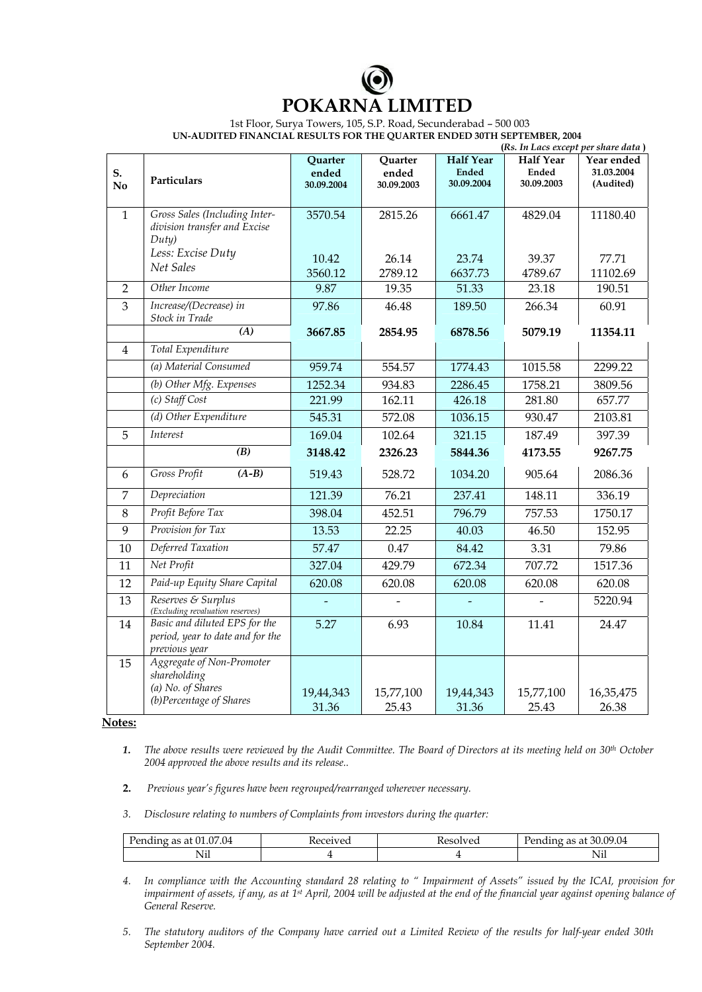## **POKARNA LIMITED**

 1st Floor, Surya Towers, 105, S.P. Road, Secunderabad – 500 003 **UN-AUDITED FINANCIAL RESULTS FOR THE QUARTER ENDED 30TH SEPTEMBER, 2004** 

|                      |                                                                                           | (Rs. In Lacs except per share data) |                                |                                                |                                                |                                       |
|----------------------|-------------------------------------------------------------------------------------------|-------------------------------------|--------------------------------|------------------------------------------------|------------------------------------------------|---------------------------------------|
| S.<br>N <sub>0</sub> | Particulars                                                                               | Quarter<br>ended<br>30.09.2004      | Quarter<br>ended<br>30.09.2003 | <b>Half Year</b><br><b>Ended</b><br>30.09.2004 | <b>Half Year</b><br><b>Ended</b><br>30.09.2003 | Year ended<br>31.03.2004<br>(Audited) |
|                      |                                                                                           |                                     |                                |                                                |                                                |                                       |
| $\mathbf{1}$         | Gross Sales (Including Inter-<br>division transfer and Excise<br>Duty)                    | 3570.54                             | 2815.26                        | 6661.47                                        | 4829.04                                        | 11180.40                              |
|                      | Less: Excise Duty                                                                         | 10.42                               | 26.14                          | 23.74                                          | 39.37                                          | 77.71                                 |
|                      | Net Sales                                                                                 | 3560.12                             | 2789.12                        | 6637.73                                        | 4789.67                                        | 11102.69                              |
| 2                    | Other Income                                                                              | 9.87                                | 19.35                          | 51.33                                          | 23.18                                          | 190.51                                |
| 3                    | Increase/(Decrease) in<br>Stock in Trade                                                  | 97.86                               | 46.48                          | 189.50                                         | 266.34                                         | 60.91                                 |
|                      | $\overline{(A)}$                                                                          | 3667.85                             | 2854.95                        | 6878.56                                        | 5079.19                                        | 11354.11                              |
| 4                    | Total Expenditure                                                                         |                                     |                                |                                                |                                                |                                       |
|                      | (a) Material Consumed                                                                     | 959.74                              | 554.57                         | 1774.43                                        | 1015.58                                        | 2299.22                               |
|                      | (b) Other Mfg. Expenses                                                                   | 1252.34                             | 934.83                         | 2286.45                                        | 1758.21                                        | 3809.56                               |
|                      | (c) Staff Cost                                                                            | 221.99                              | 162.11                         | 426.18                                         | 281.80                                         | 657.77                                |
|                      | (d) Other Expenditure                                                                     | 545.31                              | 572.08                         | 1036.15                                        | 930.47                                         | 2103.81                               |
| 5                    | Interest                                                                                  | 169.04                              | 102.64                         | 321.15                                         | 187.49                                         | 397.39                                |
|                      | $\overline{(B)}$                                                                          | 3148.42                             | 2326.23                        | 5844.36                                        | 4173.55                                        | 9267.75                               |
| 6                    | Gross Profit<br>$(A-B)$                                                                   | 519.43                              | 528.72                         | 1034.20                                        | 905.64                                         | 2086.36                               |
| $\overline{7}$       | Depreciation                                                                              | 121.39                              | 76.21                          | 237.41                                         | 148.11                                         | 336.19                                |
| 8                    | Profit Before Tax                                                                         | 398.04                              | 452.51                         | 796.79                                         | 757.53                                         | 1750.17                               |
| 9                    | Provision for Tax                                                                         | 13.53                               | 22.25                          | 40.03                                          | 46.50                                          | 152.95                                |
| 10                   | Deferred Taxation                                                                         | 57.47                               | 0.47                           | 84.42                                          | 3.31                                           | 79.86                                 |
| 11                   | Net Profit                                                                                | 327.04                              | 429.79                         | 672.34                                         | 707.72                                         | 1517.36                               |
| 12                   | Paid-up Equity Share Capital                                                              | 620.08                              | 620.08                         | 620.08                                         | 620.08                                         | 620.08                                |
| 13                   | Reserves & Surplus<br>(Excluding revaluation reserves)                                    |                                     |                                |                                                |                                                | 5220.94                               |
| 14                   | Basic and diluted EPS for the<br>period, year to date and for the<br>previous year        | 5.27                                | 6.93                           | 10.84                                          | 11.41                                          | 24.47                                 |
| 15                   | Aggregate of Non-Promoter<br>shareholding<br>(a) No. of Shares<br>(b)Percentage of Shares | 19,44,343                           | 15,77,100                      | 19,44,343                                      | 15,77,100                                      | 16,35,475                             |
|                      |                                                                                           | 31.36                               | 25.43                          | 31.36                                          | 25.43                                          | 26.38                                 |

**Notes:** 

- *1. The above results were reviewed by the Audit Committee. The Board of Directors at its meeting held on 30th October 2004 approved the above results and its release..*
- **2.** *Previous year's figures have been regrouped/rearranged wherever necessary.*
- *3. Disclosure relating to numbers of Complaints from investors during the quarter:*

| 07.04<br>$\cap$<br>at<br>ւսութ<br>as | . | $\sim$ vea<br>. | 30.09.04<br>$\sim$<br>$\Omega$<br>аt<br>епан<br>-15 |
|--------------------------------------|---|-----------------|-----------------------------------------------------|
| $  -$<br>N11                         |   |                 | $\sim$ $\sim$ 1<br>IN11                             |

- *4. In compliance with the Accounting standard 28 relating to " Impairment of Assets" issued by the ICAI, provision for impairment of assets, if any, as at 1st April, 2004 will be adjusted at the end of the financial year against opening balance of General Reserve.*
- *5. The statutory auditors of the Company have carried out a Limited Review of the results for half-year ended 30th September 2004.*